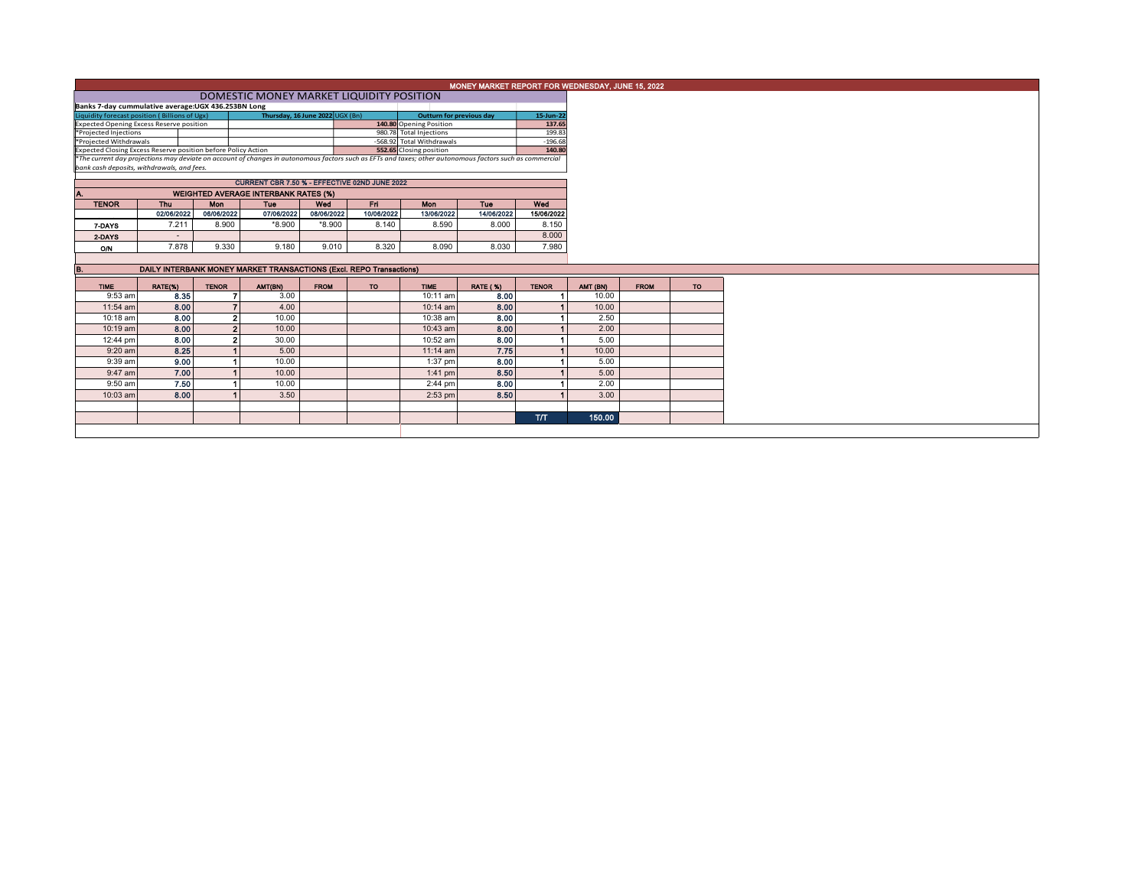|                                                                                                                                                                                     |                          |                          | MONEY MARKET REPORT FOR WEDNESDAY, JUNE 15, 2022 |                   |                                 |                                                      |                          |                     |  |          |             |
|-------------------------------------------------------------------------------------------------------------------------------------------------------------------------------------|--------------------------|--------------------------|--------------------------------------------------|-------------------|---------------------------------|------------------------------------------------------|--------------------------|---------------------|--|----------|-------------|
|                                                                                                                                                                                     |                          |                          |                                                  |                   |                                 |                                                      |                          |                     |  |          |             |
| DOMESTIC MONEY MARKET LIQUIDITY POSITION<br>Banks 7-day cummulative average:UGX 436.253BN Long                                                                                      |                          |                          |                                                  |                   |                                 |                                                      |                          |                     |  |          |             |
| Thursday, 16 June 2022 UGX (Bn)<br>Liquidity forecast position (Billions of Ugx)                                                                                                    |                          |                          |                                                  |                   | <b>Outturn for previous day</b> |                                                      | 15-Jun-22                |                     |  |          |             |
| <b>Expected Opening Excess Reserve position</b>                                                                                                                                     |                          |                          |                                                  |                   | 140.80 Opening Position         |                                                      | 137.65                   |                     |  |          |             |
| *Projected Injections                                                                                                                                                               |                          |                          |                                                  |                   |                                 | 980.78 Total Injections<br>-568.92 Total Withdrawals |                          | 199.83<br>$-196.68$ |  |          |             |
| *Projected Withdrawals<br>Expected Closing Excess Reserve position before Policy Action                                                                                             |                          |                          |                                                  |                   |                                 |                                                      |                          | 140.80              |  |          |             |
| 552.65 Closing position<br>*The current day projections may deviate on account of changes in autonomous factors such as EFTs and taxes; other autonomous factors such as commercial |                          |                          |                                                  |                   |                                 |                                                      |                          |                     |  |          |             |
| bank cash deposits, withdrawals, and fees.                                                                                                                                          |                          |                          |                                                  |                   |                                 |                                                      |                          |                     |  |          |             |
|                                                                                                                                                                                     |                          |                          | CURRENT CBR 7.50 % - EFFECTIVE 02ND JUNE 2022    |                   |                                 |                                                      |                          |                     |  |          |             |
|                                                                                                                                                                                     |                          |                          |                                                  |                   |                                 |                                                      |                          |                     |  |          |             |
|                                                                                                                                                                                     |                          |                          | <b>WEIGHTED AVERAGE INTERBANK RATES (%)</b>      |                   |                                 |                                                      |                          |                     |  |          |             |
| <b>TENOR</b>                                                                                                                                                                        | Thu<br>02/06/2022        | <b>Mon</b><br>06/06/2022 | <b>Tue</b><br>07/06/2022                         | Wed<br>08/06/2022 | Fri<br>10/06/2022               | Mon<br>13/06/2022                                    | <b>Tue</b><br>14/06/2022 | Wed<br>15/06/2022   |  |          |             |
|                                                                                                                                                                                     | 7.211                    | 8.900                    | *8.900                                           | $*8.900$          | 8.140                           | 8.590                                                | 8.000                    | 8.150               |  |          |             |
| 7-DAYS                                                                                                                                                                              |                          |                          |                                                  |                   |                                 |                                                      |                          |                     |  |          |             |
| 2-DAYS                                                                                                                                                                              | $\overline{\phantom{a}}$ |                          |                                                  |                   |                                 |                                                      |                          | 8.000               |  |          |             |
| O/N                                                                                                                                                                                 | 7.878                    | 9.330                    | 9.180                                            | 9.010             | 8.320                           | 8.090                                                | 8.030                    | 7.980               |  |          |             |
|                                                                                                                                                                                     |                          |                          |                                                  |                   |                                 |                                                      |                          |                     |  |          |             |
| DAILY INTERBANK MONEY MARKET TRANSACTIONS (Excl. REPO Transactions)<br>в.                                                                                                           |                          |                          |                                                  |                   |                                 |                                                      |                          |                     |  |          |             |
| <b>TIME</b>                                                                                                                                                                         | RATE(%)                  | <b>TENOR</b>             | AMT(BN)                                          | <b>FROM</b>       | TO.                             | <b>TIME</b>                                          | <b>RATE (%)</b>          | <b>TENOR</b>        |  | AMT (BN) | <b>FROM</b> |
| 9:53 am                                                                                                                                                                             | 8.35                     |                          | 7<br>3.00                                        |                   |                                 | 10:11 am                                             | 8.00                     |                     |  | 10.00    |             |
| 11:54 am                                                                                                                                                                            | 8.00                     |                          | $\overline{ }$<br>4.00                           |                   |                                 | 10:14 am                                             | 8.00                     |                     |  | 10.00    |             |
| 10:18 am                                                                                                                                                                            | 8.00                     |                          | $\mathbf{2}$<br>10.00                            |                   |                                 | 10:38 am                                             | 8.00                     |                     |  | 2.50     |             |
| $10:19$ am                                                                                                                                                                          | 8.00                     |                          | $\overline{2}$<br>10.00                          |                   |                                 | 10:43 am                                             | 8.00                     |                     |  | 2.00     |             |
| 12:44 pm                                                                                                                                                                            | 8.00                     |                          | $\overline{2}$<br>30.00                          |                   |                                 | 10:52 am                                             | 8.00                     |                     |  | 5.00     |             |
| $9:20$ am                                                                                                                                                                           | 8.25                     |                          | 5.00                                             |                   |                                 | $11:14$ am                                           | 7.75                     |                     |  | 10.00    |             |
| 9:39 am                                                                                                                                                                             | 9.00                     |                          | 10.00                                            |                   |                                 | 1:37 pm                                              | 8.00                     |                     |  | 5.00     |             |
|                                                                                                                                                                                     |                          |                          | 10.00                                            |                   |                                 | $1:41$ pm                                            | 8.50                     |                     |  | 5.00     |             |
|                                                                                                                                                                                     |                          |                          |                                                  |                   |                                 |                                                      |                          |                     |  |          |             |
| 9:47 am                                                                                                                                                                             | 7.00                     |                          |                                                  |                   |                                 |                                                      |                          |                     |  |          |             |
| 9:50 am                                                                                                                                                                             | 7.50                     |                          | 10.00                                            |                   |                                 | 2:44 pm                                              | 8.00                     |                     |  | 2.00     |             |
| 10:03 am                                                                                                                                                                            | 8.00                     |                          | 3.50                                             |                   |                                 | $2:53$ pm                                            | 8.50                     |                     |  | 3.00     |             |
|                                                                                                                                                                                     |                          |                          |                                                  |                   |                                 |                                                      |                          |                     |  |          |             |
|                                                                                                                                                                                     |                          |                          |                                                  |                   |                                 |                                                      |                          | <b>T/T</b>          |  | 150.00   |             |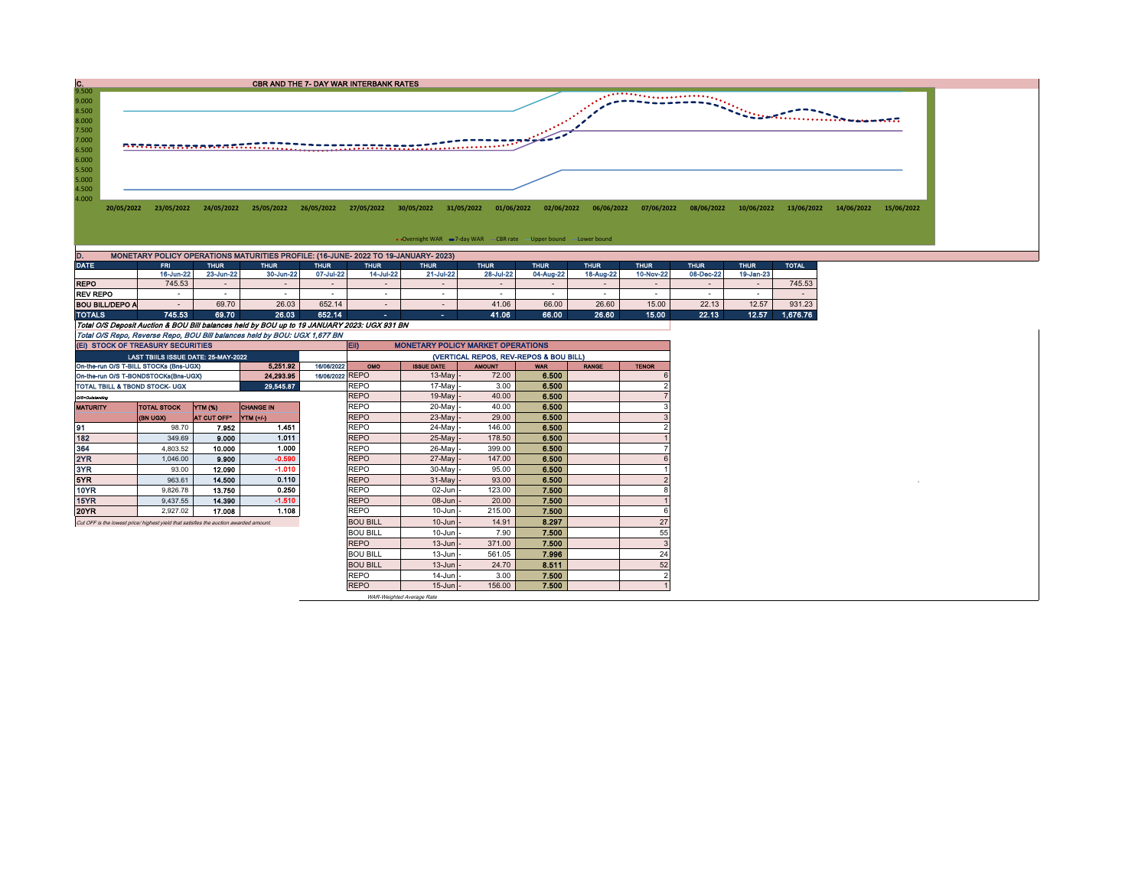

| ____                   |                                                                                             | .         | .         | --------  |                          | .            | .         | --------  | --------  | .         | .                        |           | _____    |
|------------------------|---------------------------------------------------------------------------------------------|-----------|-----------|-----------|--------------------------|--------------|-----------|-----------|-----------|-----------|--------------------------|-----------|----------|
|                        | 16-Jun-22                                                                                   | 23-Jun-22 | 30-Jun-22 | 07-Jul-22 | 14-Jul-22                | 21-Jul-22    | 28-Jul-22 | 04-Aug-22 | 18-Aug-22 | 10-Nov-22 | 08-Dec-22                | 19-Jan-23 |          |
| <b>REPO</b>            | 745.53                                                                                      |           |           |           | $\overline{\phantom{a}}$ | -            |           |           |           | $\sim$    | $\overline{\phantom{a}}$ |           | 745.53   |
| <b>REV REPO</b>        |                                                                                             |           |           |           |                          |              |           |           |           | . .       |                          |           |          |
| <b>BOU BILL/DEPO A</b> |                                                                                             | 69.70     | 26.03     | 652.14    |                          |              | 41.06     | 66.00     | 26.60     | 15.00     | 22.13                    | 12.57     | 931.23   |
| <b>TOTALS</b>          | 745.53                                                                                      | 69.70     | 26.03     | 652.14    | <b>COL</b>               | $\mathbf{r}$ | 41.06     | 66.00     | 26.60     | 15.00     | 22.13                    | 12.57     | 1.676.76 |
|                        | Total O/S Deposit Auction & BOU Bill balances held by BOU up to 19 JANUARY 2023; UGX 931 BN |           |           |           |                          |              |           |           |           |           |                          |           |          |
|                        | Total O/S Repo, Reverse Repo, BOU Bill balances held by BOU: UGX 1,677 BN                   |           |           |           |                          |              |           |           |           |           |                          |           |          |

| (EI) STOCK OF TREASURY SECURITIES                                                    |                                     |                    |                  |                 | <b>MONETARY POLICY MARKET OPERATIONS</b><br>EII) |                   |               |            |              |              |  |  |  |
|--------------------------------------------------------------------------------------|-------------------------------------|--------------------|------------------|-----------------|--------------------------------------------------|-------------------|---------------|------------|--------------|--------------|--|--|--|
|                                                                                      | LAST TBIILS ISSUE DATE: 25-MAY-2022 |                    |                  |                 | (VERTICAL REPOS, REV-REPOS & BOU BILL)           |                   |               |            |              |              |  |  |  |
| On-the-run O/S T-BILL STOCKs (Bns-UGX)                                               |                                     |                    | 5.251.92         | 16/06/2022      | OMO                                              | <b>ISSUE DATE</b> | <b>AMOUNT</b> | <b>WAR</b> | <b>RANGE</b> | <b>TENOR</b> |  |  |  |
| On-the-run O/S T-BONDSTOCKs(Bns-UGX)                                                 |                                     |                    | 24.293.95        | 16/06/2022 REPO |                                                  | $13$ -May -       | 72.00         | 6.500      |              |              |  |  |  |
| 29,545.87<br>TOTAL TBILL & TBOND STOCK- UGX                                          |                                     |                    |                  |                 | <b>REPO</b>                                      | 17-May -          | 3.00          | 6.500      |              |              |  |  |  |
| O/S=Outstanding                                                                      |                                     |                    |                  |                 | <b>REPO</b>                                      | $19$ -May -       | 40.00         | 6.500      |              |              |  |  |  |
| <b>MATURITY</b>                                                                      | <b>TOTAL STOCK</b>                  | <b>YTM (%)</b>     | <b>CHANGE IN</b> |                 | <b>REPO</b>                                      | $20$ -May -       | 40.00         | 6.500      |              |              |  |  |  |
|                                                                                      | <b>CKDU HB)</b>                     | <b>AT CUT OFF*</b> | YTM (+/-)        |                 | <b>REPO</b>                                      | $23$ -May -       | 29.00         | 6,500      |              |              |  |  |  |
| 91                                                                                   | 98.70                               | 7.952              | 1.451            |                 | <b>REPO</b>                                      | 24-May -          | 146.00        | 6.500      |              |              |  |  |  |
| 182                                                                                  | 349.69                              | 9.000              | 1.011            |                 | <b>REPO</b>                                      | $25$ -May -       | 178.50        | 6.500      |              |              |  |  |  |
| 364                                                                                  | 4,803.52                            | 10.000             | 1.000            |                 | <b>REPO</b>                                      | $26$ -May         | 399.00        | 6.500      |              |              |  |  |  |
| 2YR                                                                                  | 1,046.00                            | 9.900              | $-0.590$         |                 | <b>REPO</b>                                      | $27$ -May -       | 147.00        | 6.500      |              |              |  |  |  |
| 3YR                                                                                  | 93.00                               | 12.090             | $-1.010$         |                 | <b>REPO</b>                                      | $30$ -May -       | 95.00         | 6,500      |              |              |  |  |  |
| 5YR.                                                                                 | 963.61                              | 14,500             | 0.110            |                 | <b>REPO</b>                                      | $31$ -May         | 93.00         | 6.500      |              |              |  |  |  |
| 10YR                                                                                 | 9.826.78                            | 13.750             | 0.250            |                 | <b>REPO</b>                                      | $02$ -Jun $-$     | 123.00        | 7.500      |              |              |  |  |  |
| 15YR                                                                                 | 9.437.55                            | 14.390             | $-1.510$         |                 | <b>REPO</b>                                      | $08$ -Jun $-$     | 20.00         | 7.500      |              |              |  |  |  |
| 20YR                                                                                 | 2,927.02                            | 17.008             | 1.108            |                 | <b>REPO</b>                                      | $10$ -Jun $-$     | 215.00        | 7.500      |              |              |  |  |  |
| Cut OFF is the lowest price/highest vield that satisfies the auction awarded amount. |                                     |                    |                  |                 | <b>BOU BILL</b>                                  | $10$ -Jun $-$     | 14.91         | 8.297      |              | 27           |  |  |  |
|                                                                                      |                                     |                    |                  |                 | <b>BOU BILL</b>                                  | $10$ -Jun $-$     | 7.90          | 7.500      |              | 55           |  |  |  |
|                                                                                      |                                     |                    |                  |                 | <b>REPO</b>                                      | $13$ -Jun $-$     | 371.00        | 7.500      |              | ă            |  |  |  |
|                                                                                      |                                     |                    |                  |                 | <b>BOU BILL</b>                                  | $13$ -Jun $-$     | 561.05        | 7.996      |              | 24           |  |  |  |
|                                                                                      |                                     |                    |                  |                 | <b>BOU BILL</b>                                  | $13$ -Jun $-$     | 24.70         | 8.511      |              | 52           |  |  |  |
|                                                                                      |                                     |                    |                  |                 | <b>REPO</b>                                      | $14$ -Jun $-$     | 3.00          | 7.500      |              |              |  |  |  |
|                                                                                      |                                     |                    |                  |                 | <b>REPO</b>                                      | $15$ -Jun $-$     | 156.00        | 7.500      |              |              |  |  |  |

WAR-Weighted Average Rate